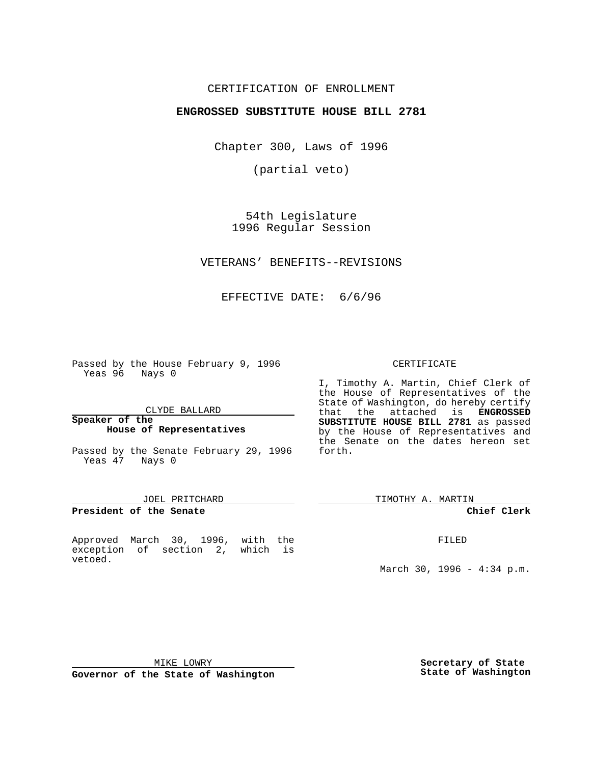## CERTIFICATION OF ENROLLMENT

# **ENGROSSED SUBSTITUTE HOUSE BILL 2781**

Chapter 300, Laws of 1996

(partial veto)

54th Legislature 1996 Regular Session

VETERANS' BENEFITS--REVISIONS

EFFECTIVE DATE: 6/6/96

Passed by the House February 9, 1996 Yeas 96 Nays 0

CLYDE BALLARD

#### **Speaker of the House of Representatives**

Passed by the Senate February 29, 1996 Yeas 47 Nays 0

## JOEL PRITCHARD

**President of the Senate**

Approved March 30, 1996, with the exception of section 2, which is vetoed.

#### CERTIFICATE

I, Timothy A. Martin, Chief Clerk of the House of Representatives of the State of Washington, do hereby certify that the attached is **ENGROSSED SUBSTITUTE HOUSE BILL 2781** as passed by the House of Representatives and the Senate on the dates hereon set forth.

TIMOTHY A. MARTIN

#### **Chief Clerk**

FILED

March 30, 1996 - 4:34 p.m.

MIKE LOWRY

**Governor of the State of Washington**

**Secretary of State State of Washington**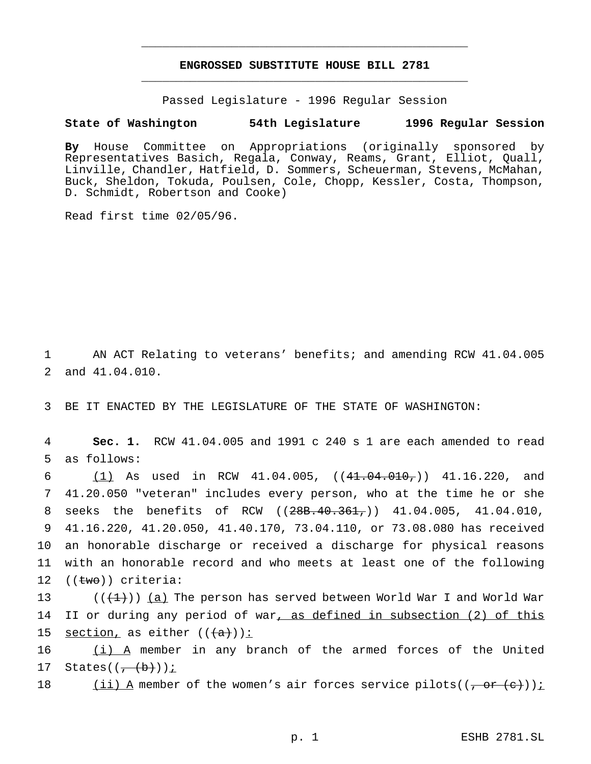# **ENGROSSED SUBSTITUTE HOUSE BILL 2781** \_\_\_\_\_\_\_\_\_\_\_\_\_\_\_\_\_\_\_\_\_\_\_\_\_\_\_\_\_\_\_\_\_\_\_\_\_\_\_\_\_\_\_\_\_\_\_

\_\_\_\_\_\_\_\_\_\_\_\_\_\_\_\_\_\_\_\_\_\_\_\_\_\_\_\_\_\_\_\_\_\_\_\_\_\_\_\_\_\_\_\_\_\_\_

Passed Legislature - 1996 Regular Session

## **State of Washington 54th Legislature 1996 Regular Session**

**By** House Committee on Appropriations (originally sponsored by Representatives Basich, Regala, Conway, Reams, Grant, Elliot, Quall, Linville, Chandler, Hatfield, D. Sommers, Scheuerman, Stevens, McMahan, Buck, Sheldon, Tokuda, Poulsen, Cole, Chopp, Kessler, Costa, Thompson, D. Schmidt, Robertson and Cooke)

Read first time 02/05/96.

1 AN ACT Relating to veterans' benefits; and amending RCW 41.04.005 2 and 41.04.010.

3 BE IT ENACTED BY THE LEGISLATURE OF THE STATE OF WASHINGTON:

4 **Sec. 1.** RCW 41.04.005 and 1991 c 240 s 1 are each amended to read 5 as follows:

6 (1) As used in RCW 41.04.005, ((41.04.010,)) 41.16.220, and 7 41.20.050 "veteran" includes every person, who at the time he or she 8 seeks the benefits of RCW ((28B.40.361,)) 41.04.005, 41.04.010, 9 41.16.220, 41.20.050, 41.40.170, 73.04.110, or 73.08.080 has received 10 an honorable discharge or received a discharge for physical reasons 11 with an honorable record and who meets at least one of the following 12 ((two)) criteria:

13 ( $(\{+\}$ )) (a) The person has served between World War I and World War 14 II or during any period of war, as defined in subsection (2) of this 15 section, as either  $((+a+))$ :

16 (i) A member in any branch of the armed forces of the United 17 States $((\overline{(+b)}))$  :

18 (ii) A member of the women's air forces service pilots( $(\frac{\pi}{2}$  or  $(e^+))$ ):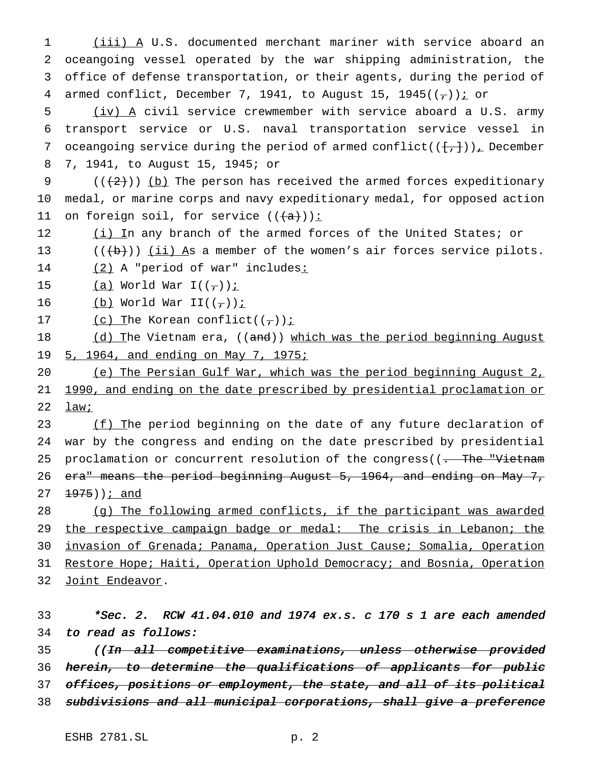1 (iii) A U.S. documented merchant mariner with service aboard an 2 oceangoing vessel operated by the war shipping administration, the 3 office of defense transportation, or their agents, during the period of 4 armed conflict, December 7, 1941, to August 15, 1945( $(\frac{\pi}{1})$ ) i or 5 (iv) A civil service crewmember with service aboard a U.S. army 6 transport service or U.S. naval transportation service vessel in 7 oceangoing service during the period of armed conflict( $(\{+, \})$ ), December 8 7, 1941, to August 15, 1945; or 9 ( $(\frac{1}{2})$ ) (b) The person has received the armed forces expeditionary 10 medal, or marine corps and navy expeditionary medal, for opposed action 11 on foreign soil, for service  $((+a+))\cdot$ 12 (i) In any branch of the armed forces of the United States; or 13  $((\{b\})$  (ii) As a member of the women's air forces service pilots. 14 (2) A "period of war" includes: 15  $(a)$  World War I $((\tau))^i$ 16 (b) World War II $((-))$  i 17  $(c)$  The Korean conflict( $(\tau)$ ); 18 (d) The Vietnam era, ((and)) which was the period beginning August 19 5, 1964, and ending on May 7, 1975; 20 (e) The Persian Gulf War, which was the period beginning August 2, 21 1990, and ending on the date prescribed by presidential proclamation or 22 law; 23 (f) The period beginning on the date of any future declaration of 24 war by the congress and ending on the date prescribed by presidential 25 proclamation or concurrent resolution of the congress((- The "Vietnam 26 era" means the period beginning August 5, 1964, and ending on May 7,  $27 \frac{1975}{)}$ ; and 28 (g) The following armed conflicts, if the participant was awarded 29 the respective campaign badge or medal: The crisis in Lebanon; the 30 invasion of Grenada; Panama, Operation Just Cause; Somalia, Operation 31 Restore Hope; Haiti, Operation Uphold Democracy; and Bosnia, Operation 32 Joint Endeavor. 33 \*Sec. 2. RCW 41.04.010 and <sup>1974</sup> ex.s. <sup>c</sup> <sup>170</sup> <sup>s</sup> <sup>1</sup> are each amended 34 to read as follows: 35 ((In all competitive examinations, unless otherwise provided

36 herein, to determine the qualifications of applicants for public 37 offices, positions or employment, the state, and all of its political 38 subdivisions and all municipal corporations, shall give a preference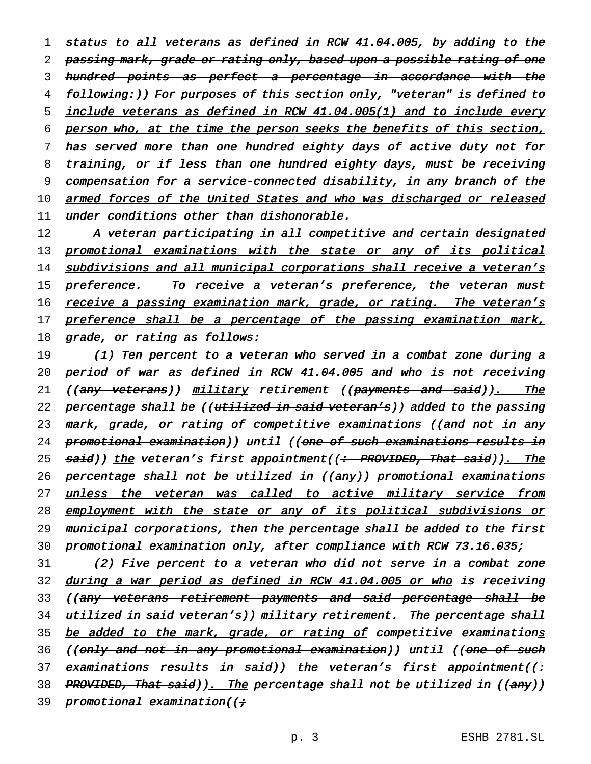1 status to all veterans as defined in RCW 41.04.005, by adding to the 2 passing mark, grade or rating only, based upon a possible rating of one 3 hundred points as perfect a percentage in accordance with the 4 following:)) For purposes of this section only, "veteran" is defined to 5 include veterans as defined in RCW 41.04.005(1) and to include every 6 person who, at the time the person seeks the benefits of this section, 7 has served more than one hundred eighty days of active duty not for 8 training, or if less than one hundred eighty days, must be receiving 9 compensation for a service-connected disability, in any branch of the 10 armed forces of the United States and who was discharged or released 11 under conditions other than dishonorable.

12 A veteran participating in all competitive and certain designated 13 promotional examinations with the state or any of its political 14 subdivisions and all municipal corporations shall receive a veteran's 15 preference. To receive a veteran's preference, the veteran must 16 receive a passing examination mark, grade, or rating. The veteran's 17 preference shall be a percentage of the passing examination mark, 18 grade, or rating as follows:

19 (1) Ten percent to a veteran who served in a combat zone during a 20 period of war as defined in RCW 41.04.005 and who is not receiving 21 ((any veterans)) military retirement ((payments and said)). The 22 percentage shall be ((utilized in said veteran's)) added to the passing 23 mark, grade, or rating of competitive examinations ((and not in any 24 promotional examination)) until ((one of such examinations results in 25 <del>said</del>)) <u>the</u> veteran's first appointment((<del>: PROVIDED, That said</del>))<u>. The</u> 26 percentage shall not be utilized in ((any)) promotional examinations 27 unless the veteran was called to active military service from 28 employment with the state or any of its political subdivisions or 29 municipal corporations, then the percentage shall be added to the first 30 promotional examination only, after compliance with RCW 73.16.035;

31 (2) Five percent to a veteran who did not serve in a combat zone 32 during a war period as defined in RCW 41.04.005 or who is receiving 33 ((any veterans retirement payments and said percentage shall be 34 utilized in said veteran's)) military retirement. The percentage shall 35 be added to the mark, grade, or rating of competitive examinations 36 ((<del>only and not in any promotional examination</del>)) until ((<del>one of such</del> 37 examinations results in said)) the veteran's first appointment((: 38 PROVIDED, That said)). The percentage shall not be utilized in ((any)) 39 promotional examination((+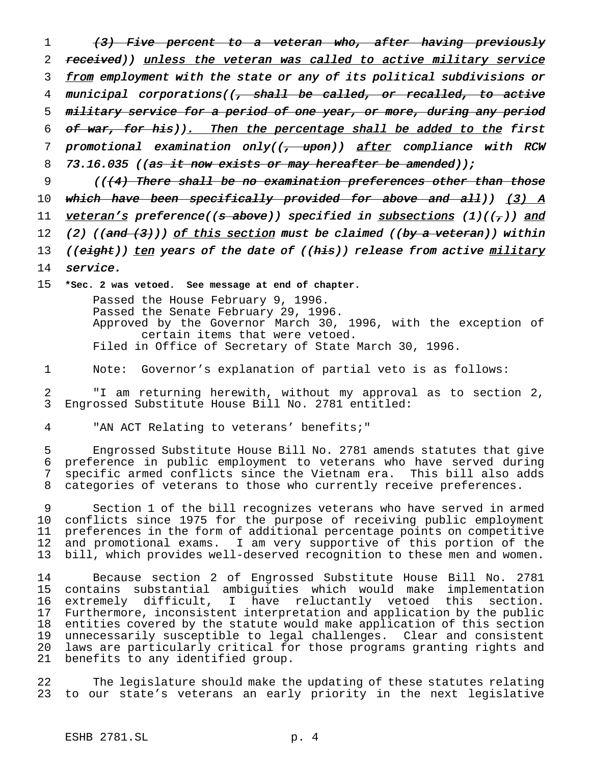1 (3) Five percent to a veteran who, after having previously 2 received)) unless the veteran was called to active military service 3 from employment with the state or any of its political subdivisions or 4 municipal corporations((<del>, shall be called, or recalled, to active</del> 5 military service for <sup>a</sup> period of one year, or more, during any period 6 of war, for his)). Then the percentage shall be added to the first 7 promotional examination only( $(\frac{1}{r}, \frac{1}{r}, \frac{1}{r})$  after compliance with RCW 8 73.16.035 ((as it now exists or may hereafter be amended));

 $9$  (( $\left(4\right)$  There shall be no examination preferences other than those 10 which have been specifically provided for above and all)) (3) A 11 veteran's preference((<del>s above</del>)) specified in subsections (1)(( $_{7}$ )) and 12 (2) ((and  $(3)$ )) of this section must be claimed ((by a veteran)) within 13 ((eight)) ten years of the date of ((his)) release from active military

14 service.

15 **\*Sec. 2 was vetoed. See message at end of chapter.**

Passed the House February 9, 1996. Passed the Senate February 29, 1996. Approved by the Governor March 30, 1996, with the exception of certain items that were vetoed. Filed in Office of Secretary of State March 30, 1996.

1 Note: Governor's explanation of partial veto is as follows:

2 "I am returning herewith, without my approval as to section 2, 3 Engrossed Substitute House Bill No. 2781 entitled:

4 "AN ACT Relating to veterans' benefits;"

 Engrossed Substitute House Bill No. 2781 amends statutes that give preference in public employment to veterans who have served during specific armed conflicts since the Vietnam era. This bill also adds categories of veterans to those who currently receive preferences.

 Section 1 of the bill recognizes veterans who have served in armed conflicts since 1975 for the purpose of receiving public employment preferences in the form of additional percentage points on competitive and promotional exams. I am very supportive of this portion of the bill, which provides well-deserved recognition to these men and women.

 Because section 2 of Engrossed Substitute House Bill No. 2781 contains substantial ambiguities which would make implementation extremely difficult, I have reluctantly vetoed this section. Furthermore, inconsistent interpretation and application by the public entities covered by the statute would make application of this section unnecessarily susceptible to legal challenges. Clear and consistent laws are particularly critical for those programs granting rights and benefits to any identified group.

22 The legislature should make the updating of these statutes relating 23 to our state's veterans an early priority in the next legislative